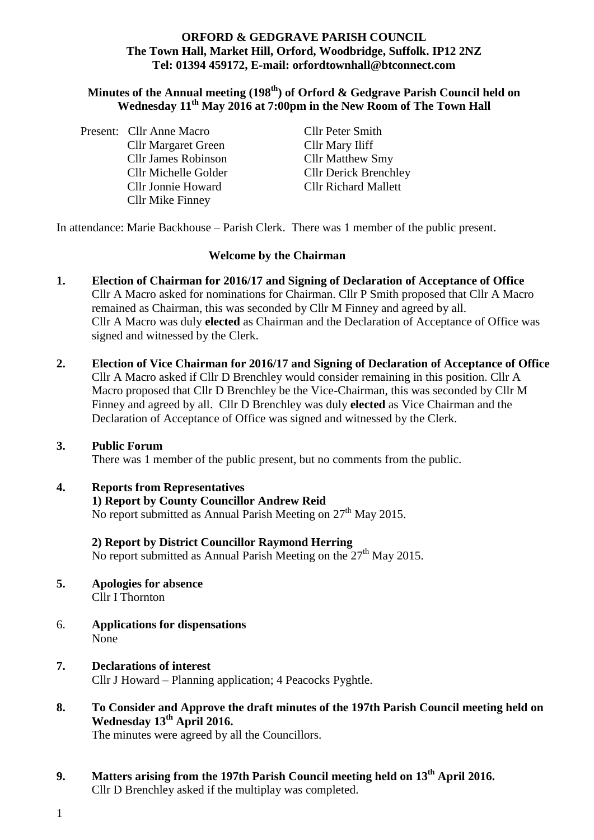#### **ORFORD & GEDGRAVE PARISH COUNCIL The Town Hall, Market Hill, Orford, Woodbridge, Suffolk. IP12 2NZ Tel: 01394 459172, E-mail: orfordtownhall@btconnect.com**

### **Minutes of the Annual meeting (198 th) of Orford & Gedgrave Parish Council held on Wednesday 11th May 2016 at 7:00pm in the New Room of The Town Hall**

Brenchle v

|  | Present: Cllr Anne Macro   | <b>Cllr Peter Smith</b>     |
|--|----------------------------|-----------------------------|
|  | <b>Cllr Margaret Green</b> | Cllr Mary Iliff             |
|  | <b>Cllr James Robinson</b> | <b>Cllr Matthew Smy</b>     |
|  | Cllr Michelle Golder       | <b>Cllr Derick Brenchle</b> |
|  | <b>Cllr Jonnie Howard</b>  | <b>Cllr Richard Mallett</b> |
|  | <b>Cllr Mike Finney</b>    |                             |

In attendance: Marie Backhouse – Parish Clerk. There was 1 member of the public present.

#### **Welcome by the Chairman**

- **1. Election of Chairman for 2016/17 and Signing of Declaration of Acceptance of Office**  Cllr A Macro asked for nominations for Chairman. Cllr P Smith proposed that Cllr A Macro remained as Chairman, this was seconded by Cllr M Finney and agreed by all. Cllr A Macro was duly **elected** as Chairman and the Declaration of Acceptance of Office was signed and witnessed by the Clerk.
- **2. Election of Vice Chairman for 2016/17 and Signing of Declaration of Acceptance of Office** Cllr A Macro asked if Cllr D Brenchley would consider remaining in this position. Cllr A Macro proposed that Cllr D Brenchley be the Vice-Chairman, this was seconded by Cllr M Finney and agreed by all.Cllr D Brenchley was duly **elected** as Vice Chairman and the Declaration of Acceptance of Office was signed and witnessed by the Clerk.

### **3. Public Forum**

There was 1 member of the public present, but no comments from the public.

### **4. Reports from Representatives**

# **1) Report by County Councillor Andrew Reid**

No report submitted as Annual Parish Meeting on  $27<sup>th</sup>$  May 2015.

# **2) Report by District Councillor Raymond Herring**

No report submitted as Annual Parish Meeting on the  $27<sup>th</sup>$  May 2015.

- **5. Apologies for absence** Cllr I Thornton
- 6. **Applications for dispensations** None
- **7. Declarations of interest** Cllr J Howard – Planning application; 4 Peacocks Pyghtle.
- **8. To Consider and Approve the draft minutes of the 197th Parish Council meeting held on Wednesday 13 th April 2016.**

The minutes were agreed by all the Councillors.

- **9. Matters arising from the 197th Parish Council meeting held on 13th April 2016.** Cllr D Brenchley asked if the multiplay was completed.
- 1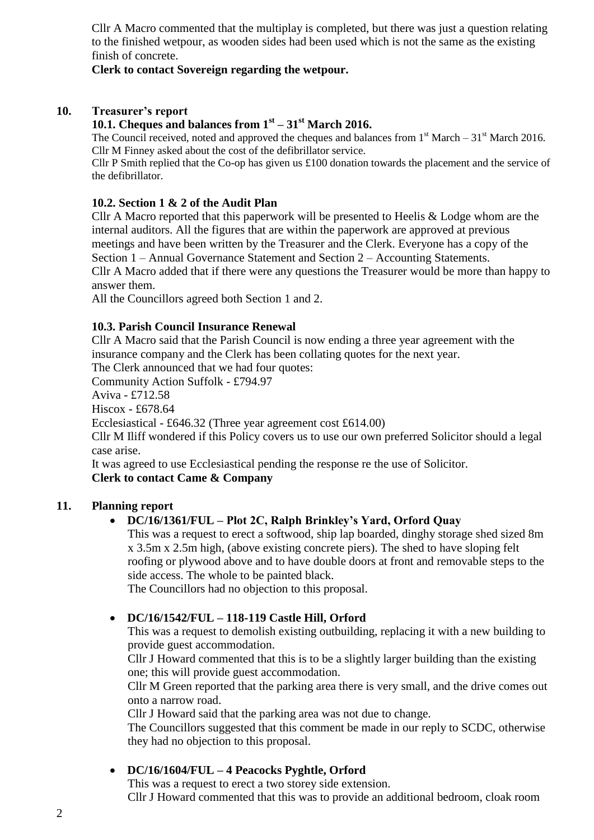Cllr A Macro commented that the multiplay is completed, but there was just a question relating to the finished wetpour, as wooden sides had been used which is not the same as the existing finish of concrete.

### **Clerk to contact Sovereign regarding the wetpour.**

### **10. Treasurer's report**

# **10.1. Cheques and balances from 1st – 31st March 2016.**

The Council received, noted and approved the cheques and balances from  $1<sup>st</sup>$  March – 31<sup>st</sup> March 2016. Cllr M Finney asked about the cost of the defibrillator service.

Cllr P Smith replied that the Co-op has given us £100 donation towards the placement and the service of the defibrillator.

#### **10.2. Section 1 & 2 of the Audit Plan**

Cllr A Macro reported that this paperwork will be presented to Heelis & Lodge whom are the internal auditors. All the figures that are within the paperwork are approved at previous meetings and have been written by the Treasurer and the Clerk. Everyone has a copy of the Section 1 – Annual Governance Statement and Section 2 – Accounting Statements. Cllr A Macro added that if there were any questions the Treasurer would be more than happy to answer them.

All the Councillors agreed both Section 1 and 2.

#### **10.3. Parish Council Insurance Renewal**

Cllr A Macro said that the Parish Council is now ending a three year agreement with the insurance company and the Clerk has been collating quotes for the next year.

The Clerk announced that we had four quotes:

Community Action Suffolk - £794.97

Aviva - £712.58

Hiscox - £678.64

Ecclesiastical - £646.32 (Three year agreement cost £614.00)

Cllr M Iliff wondered if this Policy covers us to use our own preferred Solicitor should a legal case arise.

It was agreed to use Ecclesiastical pending the response re the use of Solicitor.

#### **Clerk to contact Came & Company**

### **11. Planning report**

### **DC/16/1361/FUL – Plot 2C, Ralph Brinkley's Yard, Orford Quay**

This was a request to erect a softwood, ship lap boarded, dinghy storage shed sized 8m x 3.5m x 2.5m high, (above existing concrete piers). The shed to have sloping felt roofing or plywood above and to have double doors at front and removable steps to the side access. The whole to be painted black.

The Councillors had no objection to this proposal.

#### **DC/16/1542/FUL – 118-119 Castle Hill, Orford**

This was a request to demolish existing outbuilding, replacing it with a new building to provide guest accommodation.

Cllr J Howard commented that this is to be a slightly larger building than the existing one; this will provide guest accommodation.

Cllr M Green reported that the parking area there is very small, and the drive comes out onto a narrow road.

Cllr J Howard said that the parking area was not due to change.

The Councillors suggested that this comment be made in our reply to SCDC, otherwise they had no objection to this proposal.

### **DC/16/1604/FUL – 4 Peacocks Pyghtle, Orford**

This was a request to erect a two storey side extension.

Cllr J Howard commented that this was to provide an additional bedroom, cloak room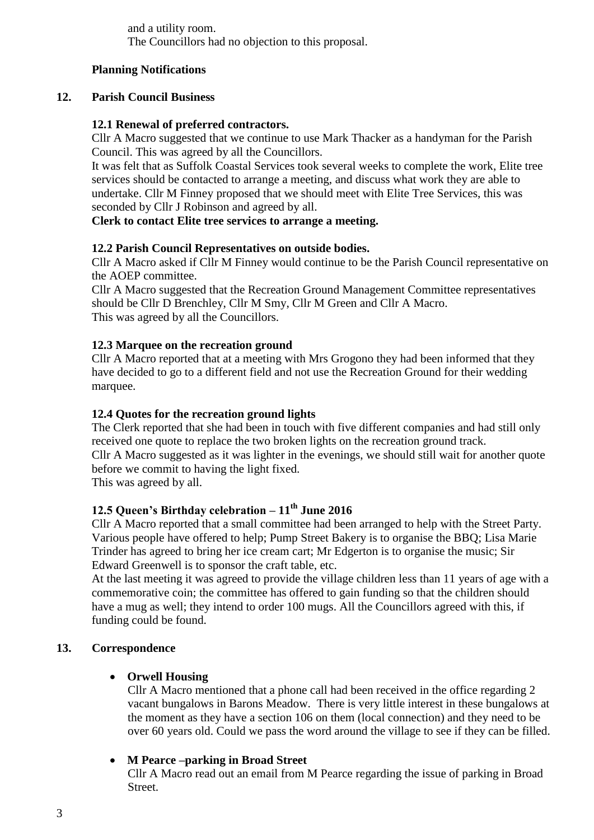and a utility room. The Councillors had no objection to this proposal.

### **Planning Notifications**

#### **12. Parish Council Business**

#### **12.1 Renewal of preferred contractors.**

Cllr A Macro suggested that we continue to use Mark Thacker as a handyman for the Parish Council. This was agreed by all the Councillors.

It was felt that as Suffolk Coastal Services took several weeks to complete the work, Elite tree services should be contacted to arrange a meeting, and discuss what work they are able to undertake. Cllr M Finney proposed that we should meet with Elite Tree Services, this was seconded by Cllr J Robinson and agreed by all.

#### **Clerk to contact Elite tree services to arrange a meeting.**

#### **12.2 Parish Council Representatives on outside bodies.**

Cllr A Macro asked if Cllr M Finney would continue to be the Parish Council representative on the AOEP committee.

Cllr A Macro suggested that the Recreation Ground Management Committee representatives should be Cllr D Brenchley, Cllr M Smy, Cllr M Green and Cllr A Macro. This was agreed by all the Councillors.

#### **12.3 Marquee on the recreation ground**

Cllr A Macro reported that at a meeting with Mrs Grogono they had been informed that they have decided to go to a different field and not use the Recreation Ground for their wedding marquee.

#### **12.4 Quotes for the recreation ground lights**

The Clerk reported that she had been in touch with five different companies and had still only received one quote to replace the two broken lights on the recreation ground track. Cllr A Macro suggested as it was lighter in the evenings, we should still wait for another quote before we commit to having the light fixed.

This was agreed by all.

# **12.5 Queen's Birthday celebration – 11th June 2016**

Cllr A Macro reported that a small committee had been arranged to help with the Street Party. Various people have offered to help; Pump Street Bakery is to organise the BBQ; Lisa Marie Trinder has agreed to bring her ice cream cart; Mr Edgerton is to organise the music; Sir Edward Greenwell is to sponsor the craft table, etc.

At the last meeting it was agreed to provide the village children less than 11 years of age with a commemorative coin; the committee has offered to gain funding so that the children should have a mug as well; they intend to order 100 mugs. All the Councillors agreed with this, if funding could be found.

### **13. Correspondence**

#### **Orwell Housing**

Cllr A Macro mentioned that a phone call had been received in the office regarding 2 vacant bungalows in Barons Meadow. There is very little interest in these bungalows at the moment as they have a section 106 on them (local connection) and they need to be over 60 years old. Could we pass the word around the village to see if they can be filled.

#### **M Pearce –parking in Broad Street**

Cllr A Macro read out an email from M Pearce regarding the issue of parking in Broad Street.